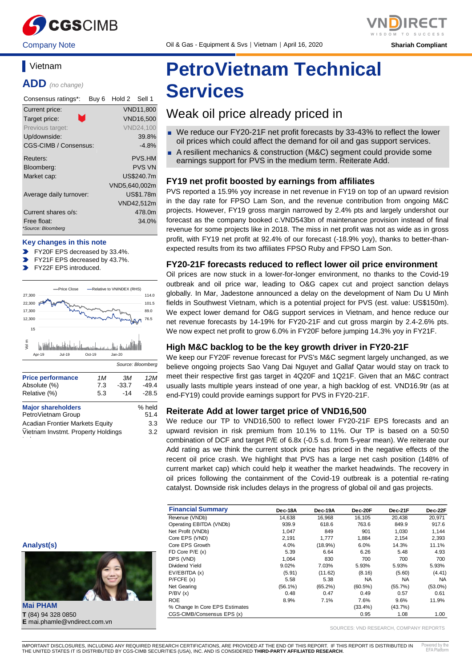

# **ADD** *(no change)*

**Vietnam** 

| Consensus ratings*:               | Buy 6 | Hold 2 Sell 1 |                  |
|-----------------------------------|-------|---------------|------------------|
| Current price:                    |       |               | <b>VND11,800</b> |
| n,<br>Target price:               |       |               | <b>VND16.500</b> |
| Previous target:                  |       |               | <b>VND24.100</b> |
| Up/downside:                      |       |               | 39.8%            |
| CGS-CIMB / Consensus:             |       |               | $-4.8%$          |
| Reuters:                          |       |               | PVS.HM           |
| Bloomberg:                        |       |               | <b>PVS VN</b>    |
| Market cap:                       |       |               | US\$240.7m       |
|                                   |       | VND5,640,002m |                  |
| Average daily turnover:           |       |               | <b>US\$1.78m</b> |
|                                   |       |               | VND42,512m       |
| Current shares o/s:               |       |               | 478.0m           |
| Free float:<br>*Source: Bloomberg |       |               | 34.0%            |

#### **Key changes in this note**

- FY20F EPS decreased by 33.4%.
- FY21F EPS decreased by 43.7%.
- FY22F EPS introduced.  $\overline{\phantom{a}}$





 $\overline{V}$ ietnam Invstmt. Property Holdings

3.2

t i

# **PetroVietnam Technical Services**

### Weak oil price already priced in

- We reduce our FY20-21F net profit forecasts by 33-43% to reflect the lower oil prices which could affect the demand for oil and gas support services.
- A resilient mechanics & construction (M&C) segment could provide some earnings support for PVS in the medium term. Reiterate Add.

#### **FY19 net profit boosted by earnings from affiliates**

PVS reported a 15.9% yoy increase in net revenue in FY19 on top of an upward revision in the day rate for FPSO Lam Son, and the revenue contribution from ongoing M&C projects. However, FY19 gross margin narrowed by 2.4% pts and largely undershot our forecast as the company booked c.VND543bn of maintenance provision instead of final revenue for some projects like in 2018. The miss in net profit was not as wide as in gross profit, with FY19 net profit at 92.4% of our forecast (-18.9% yoy), thanks to better-thanexpected results from its two affiliates FPSO Ruby and FPSO Lam Son.

#### **FY20-21F forecasts reduced to reflect lower oil price environment**

Oil prices are now stuck in a lower-for-longer environment, no thanks to the Covid-19 outbreak and oil price war, leading to O&G capex cut and project sanction delays globally. In Mar, Jadestone announced a delay on the development of Nam Du U Minh fields in Southwest Vietnam, which is a potential project for PVS (est. value: US\$150m). We expect lower demand for O&G support services in Vietnam, and hence reduce our net revenue forecasts by 14-19% for FY20-21F and cut gross margin by 2.4-2.6% pts. We now expect net profit to grow 6.0% in FY20F before jumping 14.3% yoy in FY21F.

#### **High M&C backlog to be the key growth driver in FY20-21F**

We keep our FY20F revenue forecast for PVS's M&C segment largely unchanged, as we believe ongoing projects Sao Vang Dai Nguyet and Gallaf Qatar would stay on track to meet their respective first gas target in 4Q20F and 1Q21F. Given that an M&C contract usually lasts multiple years instead of one year, a high backlog of est. VND16.9tr (as at end-FY19) could provide earnings support for PVS in FY20-21F.

#### **Reiterate Add at lower target price of VND16,500**

We reduce our TP to VND16,500 to reflect lower FY20-21F EPS forecasts and an upward revision in risk premium from 10.1% to 11%. Our TP is based on a 50:50 combination of DCF and target P/E of 6.8x (-0.5 s.d. from 5-year mean). We reiterate our Add rating as we think the current stock price has priced in the negative effects of the recent oil price crash. We highlight that PVS has a large net cash position (148% of current market cap) which could help it weather the market headwinds. The recovery in oil prices following the containment of the Covid-19 outbreak is a potential re-rating catalyst. Downside risk includes delays in the progress of global oil and gas projects.

| <b>Financial Summary</b>       | Dec-18A    | Dec-19A    | Dec-20F    | Dec-21F    | Dec-22F    |
|--------------------------------|------------|------------|------------|------------|------------|
| Revenue (VNDb)                 | 14.638     | 16.968     | 16.105     | 20.438     | 20,971     |
| Operating EBITDA (VNDb)        | 939.9      | 618.6      | 763.6      | 849.9      | 917.6      |
| Net Profit (VNDb)              | 1,047      | 849        | 901        | 1.030      | 1,144      |
| Core EPS (VND)                 | 2.191      | 1.777      | 1.884      | 2.154      | 2,393      |
| Core EPS Growth                | 4.0%       | $(18.9\%)$ | 6.0%       | 14.3%      | 11.1%      |
| FD Core $P/E(x)$               | 5.39       | 6.64       | 6.26       | 5.48       | 4.93       |
| DPS (VND)                      | 1.064      | 830        | 700        | 700        | 700        |
| Dividend Yield                 | 9.02%      | 7.03%      | 5.93%      | 5.93%      | 5.93%      |
| EV/EBITDA (x)                  | (5.91)     | (11.62)    | (8.16)     | (5.60)     | (4.41)     |
| P/FCFE(x)                      | 5.58       | 5.38       | <b>NA</b>  | <b>NA</b>  | <b>NA</b>  |
| Net Gearing                    | $(56.1\%)$ | $(65.2\%)$ | $(60.5\%)$ | $(55.7\%)$ | $(53.0\%)$ |
| P/BV(x)                        | 0.48       | 0.47       | 0.49       | 0.57       | 0.61       |
| <b>ROE</b>                     | 8.9%       | 7.1%       | 7.6%       | 9.6%       | 11.9%      |
| % Change In Core EPS Estimates |            |            | $(33.4\%)$ | $(43.7\%)$ |            |
| CGS-CIMB/Consensus EPS (x)     |            |            | 0.95       | 1.08       | 1.00       |

SOURCES: VND RESEARCH, COMPANY REPORTS

**Analyst(s)**

**Mai PHAM T** (84) 94 328 0850 **E** mai.phamle@vndirect.com.vn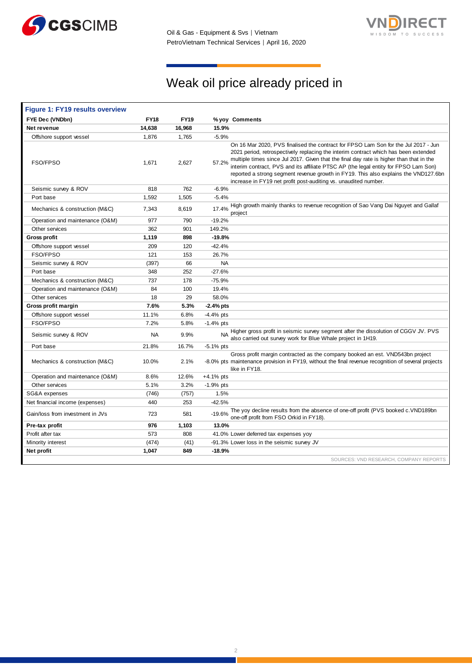



# Weak oil price already priced in

| <b>Figure 1: FY19 results overview</b> |             |             |              |                                                                                                                                                                                                                                                                                                                                                                                                                                                                                                                       |
|----------------------------------------|-------------|-------------|--------------|-----------------------------------------------------------------------------------------------------------------------------------------------------------------------------------------------------------------------------------------------------------------------------------------------------------------------------------------------------------------------------------------------------------------------------------------------------------------------------------------------------------------------|
| FYE Dec (VNDbn)                        | <b>FY18</b> | <b>FY19</b> |              | % yoy Comments                                                                                                                                                                                                                                                                                                                                                                                                                                                                                                        |
| Net revenue                            | 14,638      | 16,968      | 15.9%        |                                                                                                                                                                                                                                                                                                                                                                                                                                                                                                                       |
| Offshore support vessel                | 1,876       | 1,765       | $-5.9%$      |                                                                                                                                                                                                                                                                                                                                                                                                                                                                                                                       |
| FSO/FPSO                               | 1,671       | 2,627       | 57.2%        | On 16 Mar 2020, PVS finalised the contract for FPSO Lam Son for the Jul 2017 - Jun<br>2021 period, retrospectively replacing the interim contract which has been extended<br>multiple times since Jul 2017. Given that the final day rate is higher than that in the<br>interim contract, PVS and its affiliate PTSC AP (the legal entity for FPSO Lam Son)<br>reported a strong segment revenue growth in FY19. This also explains the VND127.6bn<br>increase in FY19 net profit post-auditing vs. unaudited number. |
| Seismic survey & ROV                   | 818         | 762         | $-6.9%$      |                                                                                                                                                                                                                                                                                                                                                                                                                                                                                                                       |
| Port base                              | 1,592       | 1,505       | $-5.4%$      |                                                                                                                                                                                                                                                                                                                                                                                                                                                                                                                       |
| Mechanics & construction (M&C)         | 7,343       | 8,619       | 17.4%        | High growth mainly thanks to revenue recognition of Sao Vang Dai Nguyet and Gallaf<br>project                                                                                                                                                                                                                                                                                                                                                                                                                         |
| Operation and maintenance (O&M)        | 977         | 790         | $-19.2%$     |                                                                                                                                                                                                                                                                                                                                                                                                                                                                                                                       |
| Other services                         | 362         | 901         | 149.2%       |                                                                                                                                                                                                                                                                                                                                                                                                                                                                                                                       |
| Gross profit                           | 1,119       | 898         | $-19.8%$     |                                                                                                                                                                                                                                                                                                                                                                                                                                                                                                                       |
| Offshore support vessel                | 209         | 120         | $-42.4%$     |                                                                                                                                                                                                                                                                                                                                                                                                                                                                                                                       |
| FSO/FPSO                               | 121         | 153         | 26.7%        |                                                                                                                                                                                                                                                                                                                                                                                                                                                                                                                       |
| Seismic survey & ROV                   | (397)       | 66          | <b>NA</b>    |                                                                                                                                                                                                                                                                                                                                                                                                                                                                                                                       |
| Port base                              | 348         | 252         | $-27.6%$     |                                                                                                                                                                                                                                                                                                                                                                                                                                                                                                                       |
| Mechanics & construction (M&C)         | 737         | 178         | $-75.9%$     |                                                                                                                                                                                                                                                                                                                                                                                                                                                                                                                       |
| Operation and maintenance (O&M)        | 84          | 100         | 19.4%        |                                                                                                                                                                                                                                                                                                                                                                                                                                                                                                                       |
| Other services                         | 18          | 29          | 58.0%        |                                                                                                                                                                                                                                                                                                                                                                                                                                                                                                                       |
| Gross profit margin                    | 7.6%        | 5.3%        | $-2.4%$ pts  |                                                                                                                                                                                                                                                                                                                                                                                                                                                                                                                       |
| Offshore support vessel                | 11.1%       | 6.8%        | $-4.4%$ pts  |                                                                                                                                                                                                                                                                                                                                                                                                                                                                                                                       |
| FSO/FPSO                               | 7.2%        | 5.8%        | $-1.4%$ pts  |                                                                                                                                                                                                                                                                                                                                                                                                                                                                                                                       |
| Seismic survey & ROV                   | NA          | 9.9%        | <b>NA</b>    | Higher gross profit in seismic survey segment after the dissolution of CGGV JV. PVS<br>also carried out survey work for Blue Whale project in 1H19.                                                                                                                                                                                                                                                                                                                                                                   |
| Port base                              | 21.8%       | 16.7%       | $-5.1\%$ pts |                                                                                                                                                                                                                                                                                                                                                                                                                                                                                                                       |
| Mechanics & construction (M&C)         | 10.0%       | 2.1%        |              | Gross profit margin contracted as the company booked an est. VND543bn project<br>-8.0% pts maintenance provision in FY19, without the final revenue recognition of several projects<br>like in FY18.                                                                                                                                                                                                                                                                                                                  |
| Operation and maintenance (O&M)        | 8.6%        | 12.6%       | $+4.1%$ pts  |                                                                                                                                                                                                                                                                                                                                                                                                                                                                                                                       |
| Other services                         | 5.1%        | 3.2%        | $-1.9%$ pts  |                                                                                                                                                                                                                                                                                                                                                                                                                                                                                                                       |
| SG&A expenses                          | (746)       | (757)       | 1.5%         |                                                                                                                                                                                                                                                                                                                                                                                                                                                                                                                       |
| Net financial income (expenses)        | 440         | 253         | $-42.5%$     |                                                                                                                                                                                                                                                                                                                                                                                                                                                                                                                       |
| Gain/loss from investment in JVs       | 723         | 581         | $-19.6%$     | The yoy decline results from the absence of one-off profit (PVS booked c.VND189bn<br>one-off profit from FSO Orkid in FY18).                                                                                                                                                                                                                                                                                                                                                                                          |
| Pre-tax profit                         | 976         | 1,103       | 13.0%        |                                                                                                                                                                                                                                                                                                                                                                                                                                                                                                                       |
| Profit after tax                       | 573         | 808         |              | 41.0% Lower deferred tax expenses yoy                                                                                                                                                                                                                                                                                                                                                                                                                                                                                 |
| Minority interest                      | (474)       | (41)        |              | -91.3% Lower loss in the seismic survey JV                                                                                                                                                                                                                                                                                                                                                                                                                                                                            |
| Net profit                             | 1,047       | 849         | $-18.9%$     |                                                                                                                                                                                                                                                                                                                                                                                                                                                                                                                       |
|                                        |             |             |              | SOURCES: VND RESEARCH, COMPANY REPORTS                                                                                                                                                                                                                                                                                                                                                                                                                                                                                |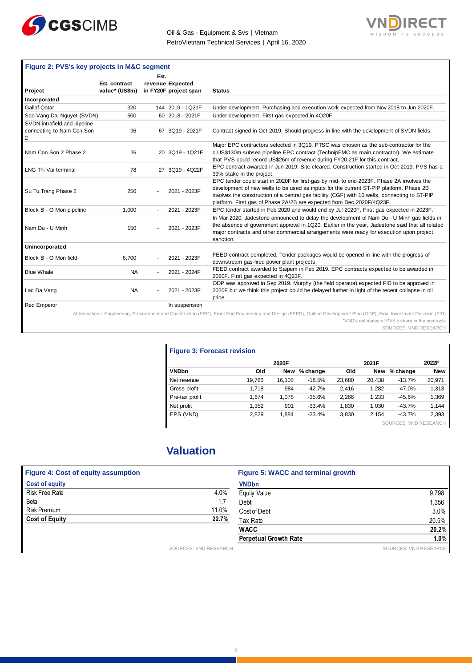



|                                                                | Figure 2: PVS's key projects in M&C segment |      |                       |                                                                                                                                                                                                                                                                                                                                                                |  |  |  |  |  |
|----------------------------------------------------------------|---------------------------------------------|------|-----------------------|----------------------------------------------------------------------------------------------------------------------------------------------------------------------------------------------------------------------------------------------------------------------------------------------------------------------------------------------------------------|--|--|--|--|--|
|                                                                |                                             | Est. |                       |                                                                                                                                                                                                                                                                                                                                                                |  |  |  |  |  |
|                                                                | Est. contract                               |      | revenue Expected      |                                                                                                                                                                                                                                                                                                                                                                |  |  |  |  |  |
| Project                                                        | value* (US\$m)                              |      | in FY20F project span | <b>Status</b>                                                                                                                                                                                                                                                                                                                                                  |  |  |  |  |  |
| Incorporated                                                   |                                             |      |                       |                                                                                                                                                                                                                                                                                                                                                                |  |  |  |  |  |
| <b>Gallaf Qatar</b>                                            | 320                                         |      | 144 2019 - 1Q21F      | Under development. Purchasing and execution work expected from Nov 2018 to Jun 2020F.                                                                                                                                                                                                                                                                          |  |  |  |  |  |
| Sao Vang Dai Nguyet (SVDN)                                     | 500                                         |      | 60 2018 - 2021F       | Under development. First gas expected in 4Q20F.                                                                                                                                                                                                                                                                                                                |  |  |  |  |  |
| SVDN intrafield and pipeline<br>connecting to Nam Con Son<br>2 | 96                                          |      | 67 3Q19 - 2021F       | Contract signed in Oct 2019. Should progress in line with the development of SVDN fields.                                                                                                                                                                                                                                                                      |  |  |  |  |  |
| Nam Con Son 2 Phase 2                                          | 26                                          |      | 20 3Q19 - 1Q21F       | Major EPC contractors selected in 3Q19. PTSC was chosen as the sub-contractor for the<br>c.US\$130m subsea pipeline EPC contract (TechnipFMC as main contractor). We estimate<br>that PVS could record US\$26m of revenue during FY20-21F for this contract.                                                                                                   |  |  |  |  |  |
| LNG Thi Vai terminal                                           | 78                                          |      | 27 3Q19 - 4Q22F       | EPC contract awarded in Jun 2019. Site cleared. Construction started in Oct 2019. PVS has a<br>39% stake in the project.                                                                                                                                                                                                                                       |  |  |  |  |  |
| Su Tu Trang Phase 2                                            | 250                                         |      | 2021 - 2023F          | EPC tender could start in 2020F for first-gas by mid- to end-2023F. Phase 2A involves the<br>development of new wells to be used as inputs for the current ST-PIP platform. Phase 2B<br>involves the construction of a central gas facility (CGF) with 16 wells, connecting to ST-PIP<br>platform. First gas of Phase 2A/2B are expected from Dec 2020F/4Q23F. |  |  |  |  |  |
| Block B - O Mon pipeline                                       | 1,000                                       |      | 2021 - 2023F          | EPC tender started in Feb 2020 and would end by Jul 2020F. First gas expected in 2023F.                                                                                                                                                                                                                                                                        |  |  |  |  |  |
| Nam Du - U Minh                                                | 150                                         |      | 2021 - 2023F          | In Mar 2020, Jadestone announced to delay the development of Nam Du - U Minh gas fields in<br>the absence of government approval in 1Q20. Earlier in the year, Jadestone said that all related<br>major contracts and other commercial arrangements were ready for execution upon project<br>sanction.                                                         |  |  |  |  |  |
| Unincorporated                                                 |                                             |      |                       |                                                                                                                                                                                                                                                                                                                                                                |  |  |  |  |  |
| Block B - O Mon field                                          | 6,700                                       |      | 2021 - 2023F          | FEED contract completed. Tender packages would be opened in line with the progress of<br>downstream gas-fired power plant projects.                                                                                                                                                                                                                            |  |  |  |  |  |
| <b>Blue Whale</b>                                              | <b>NA</b>                                   |      | 2021 - 2024F          | FEED contract awarded to Saipem in Feb 2019. EPC contracts expected to be awarded in<br>2020F. First gas expected in 4Q23F.                                                                                                                                                                                                                                    |  |  |  |  |  |
| Lac Da Vang                                                    | <b>NA</b>                                   |      | 2021 - 2023F          | ODP was approved in Sep 2019. Murphy (the field operator) expected FID to be approved in<br>2020F but we think this project could be delayed further in light of the recent collapse in oil<br>price.                                                                                                                                                          |  |  |  |  |  |
| <b>Red Emperor</b>                                             |                                             |      | In suspension         |                                                                                                                                                                                                                                                                                                                                                                |  |  |  |  |  |
|                                                                |                                             |      |                       | Abbreviations: Engineering, Procurement and Construction (EPC), Front End Engineering and Design (FEED), Outline Development Plan (ODP), Final Investment Decision (FID)                                                                                                                                                                                       |  |  |  |  |  |

\*VND's estimates of PVS's share in the contracts SOURCES: VND RESEARCH

| <b>Figure 3: Forecast revision</b> |        |            |          |        |            |                              |            |  |  |  |
|------------------------------------|--------|------------|----------|--------|------------|------------------------------|------------|--|--|--|
|                                    |        | 2020F      |          |        | 2022F      |                              |            |  |  |  |
| <b>VNDbn</b>                       | Old    | <b>New</b> | % change | Old    | <b>New</b> | % change                     | <b>New</b> |  |  |  |
| Net revenue                        | 19.766 | 16.105     | $-18.5%$ | 23.680 | 20.438     | $-13.7%$                     | 20,971     |  |  |  |
| Gross profit                       | 1.718  | 984        | $-42.7%$ | 2.416  | 1,282      | $-47.0%$                     | 1,313      |  |  |  |
| Pre-tax profit                     | 1.674  | 1.078      | $-35.6%$ | 2,266  | 1,233      | $-45.6%$                     | 1,369      |  |  |  |
| Net profit                         | 1,352  | 901        | $-33.4%$ | 1,830  | 1,030      | $-43.7%$                     | 1,144      |  |  |  |
| EPS (VND)                          | 2.829  | 1,884      | $-33.4%$ | 3,830  | 2.154      | $-43.7%$                     | 2,393      |  |  |  |
|                                    |        |            |          |        |            | <b>SOURCES: VND RESEARCH</b> |            |  |  |  |

## **Valuation**

| <b>Figure 4: Cost of equity assumption</b> |                       | Figure 5: WACC and terminal growth |                       |
|--------------------------------------------|-----------------------|------------------------------------|-----------------------|
| <b>Cost of equity</b>                      |                       | <b>VNDbn</b>                       |                       |
| Risk Free Rate                             | 4.0%                  | <b>Equity Value</b>                | 9,798                 |
| Beta                                       | 1.7                   | Debt                               | 1,356                 |
| Risk Premium                               | 11.0%                 | Cost of Debt                       | 3.0%                  |
| <b>Cost of Equity</b>                      | 22.7%                 | Tax Rate                           | 20.5%                 |
|                                            |                       | <b>WACC</b>                        | 20.2%                 |
|                                            |                       | <b>Perpetual Growth Rate</b>       | 1.0%                  |
|                                            | SOURCES: VND RESEARCH |                                    | SOURCES: VND RESEARCH |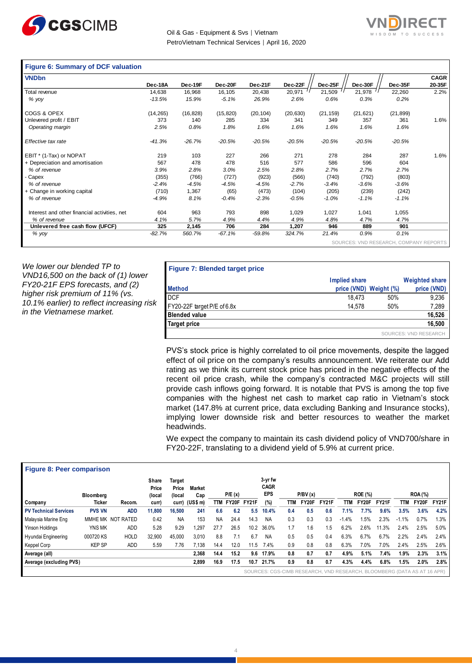



#### **Figure 6: Summary of DCF valuation**

| <b>VNDbn</b>                                 |           |           |           |           |           |           |                        |           | <b>CAGR</b>     |
|----------------------------------------------|-----------|-----------|-----------|-----------|-----------|-----------|------------------------|-----------|-----------------|
|                                              | Dec-18A   | Dec-19F   | Dec-20F   | Dec-21F   | Dec-22F   | Dec-25F   | Dec-30F                | Dec-35F   | 20-35F          |
| Total revenue                                | 14,638    | 16,968    | 16,105    | 20,438    | 20,971    | 21,509    | 21,978                 | 22,260    | 2.2%            |
| % yoy                                        | $-13.5%$  | 15.9%     | $-5.1%$   | 26.9%     | 2.6%      | 0.6%      | 0.3%                   | 0.2%      |                 |
| COGS & OPEX                                  | (14, 265) | (16, 828) | (15, 820) | (20, 104) | (20, 630) | (21, 159) | (21, 621)              | (21, 899) |                 |
| Unlevered profit / EBIT                      | 373       | 140       | 285       | 334       | 341       | 349       | 357                    | 361       | 1.6%            |
| Operating margin                             | 2.5%      | 0.8%      | 1.8%      | 1.6%      | 1.6%      | 1.6%      | 1.6%                   | 1.6%      |                 |
| Effective tax rate                           | $-41.3%$  | $-26.7%$  | $-20.5%$  | $-20.5%$  | $-20.5%$  | $-20.5%$  | $-20.5%$               | $-20.5%$  |                 |
| EBIT * (1-Tax) or NOPAT                      | 219       | 103       | 227       | 266       | 271       | 278       | 284                    | 287       | 1.6%            |
| + Depreciation and amortisation              | 567       | 478       | 478       | 516       | 577       | 586       | 596                    | 604       |                 |
| % of revenue                                 | 3.9%      | 2.8%      | 3.0%      | 2.5%      | 2.8%      | 2.7%      | 2.7%                   | 2.7%      |                 |
| Capex                                        | (355)     | (766)     | (727)     | (923)     | (566)     | (740)     | (792)                  | (803)     |                 |
| % of revenue                                 | $-2.4%$   | $-4.5%$   | $-4.5%$   | $-4.5%$   | $-2.7%$   | $-3.4%$   | $-3.6%$                | $-3.6%$   |                 |
| + Change in working capital                  | (710)     | 1,367     | (65)      | (473)     | (104)     | (205)     | (239)                  | (242)     |                 |
| % of revenue                                 | $-4.9%$   | 8.1%      | $-0.4%$   | $-2.3%$   | $-0.5%$   | $-1.0%$   | $-1.1%$                | $-1.1%$   |                 |
| Interest and other financial activities, net | 604       | 963       | 793       | 898       | 1,029     | 1,027     | 1,041                  | 1,055     |                 |
| % of revenue                                 | 4.1%      | 5.7%      | 4.9%      | 4.4%      | 4.9%      | 4.8%      | 4.7%                   | 4.7%      |                 |
| Unlevered free cash flow (UFCF)              | 325       | 2,145     | 706       | 284       | 1,207     | 946       | 889                    | 901       |                 |
| % yoy                                        | $-82.7%$  | 560.7%    | $-67.1%$  | $-59.8%$  | 324.7%    | 21.4%     | 0.9%                   | 0.1%      |                 |
|                                              |           |           |           |           |           |           | SOURCES: VND RESEARCH. |           | COMPANY REPORTS |

*We lower our blended TP to VND16,500 on the back of (1) lower FY20-21F EPS forecasts, and (2) higher risk premium of 11% (vs. 10.1% earlier) to reflect increasing risk in the Vietnamese market.*

| <b>Figure 7: Blended target price</b> |                        |     |                       |
|---------------------------------------|------------------------|-----|-----------------------|
|                                       | Implied share          |     | <b>Weighted share</b> |
| <b>Method</b>                         | price (VND) Weight (%) |     | price (VND)           |
| <b>DCF</b>                            | 18.473                 | 50% | 9,236                 |
| FY20-22F target P/E of 6.8x           | 14.578                 | 50% | 7,289                 |
| <b>Blended value</b>                  |                        |     | 16,526                |
| <b>Target price</b>                   |                        |     | 16,500                |
|                                       |                        |     | SOURCES: VND RESEARCH |

PVS's stock price is highly correlated to oil price movements, despite the lagged effect of oil price on the company's results announcement. We reiterate our Add rating as we think its current stock price has priced in the negative effects of the recent oil price crash, while the company's contracted M&C projects will still provide cash inflows going forward. It is notable that PVS is among the top five companies with the highest net cash to market cap ratio in Vietnam's stock market (147.8% at current price, data excluding Banking and Insurance stocks), implying lower downside risk and better resources to weather the market headwinds.

We expect the company to maintain its cash dividend policy of VND700/share in FY20-22F, translating to a dividend yield of 5.9% at current price.

| <b>Figure 8: Peer comparison</b> |               |                   |                          |                           |                  |           |        |                 |                                                                         |     |         |       |         |                |       |         |                |              |
|----------------------------------|---------------|-------------------|--------------------------|---------------------------|------------------|-----------|--------|-----------------|-------------------------------------------------------------------------|-----|---------|-------|---------|----------------|-------|---------|----------------|--------------|
|                                  | Bloomberg     |                   | Share<br>Price<br>(local | Target<br>Price<br>(local | Market<br>Cap    |           | P/E(x) |                 | 3-yr fw<br><b>CAGR</b><br><b>EPS</b>                                    |     | P/BV(x) |       |         | <b>ROE (%)</b> |       |         | <b>ROA</b> (%) |              |
| Company                          | Ticker        | Recom.            | curr)                    |                           | curr) (US\$ m)   |           |        | TTM FY20F FY21F | (%)                                                                     | TTM | FY20F   | FY21F | TTM     | FY20F          | FY21F | TTM     | FY20F          | <b>FY21F</b> |
| <b>PV Technical Services</b>     | <b>PVS VN</b> | ADD               | 11.800                   | 16.500                    | 241              | 6.6       | 6.2    | 5.5             | 10.4%                                                                   | 0.4 | 0.5     | 0.6   | 7.1%    | 7.7%           | 9.6%  | 3.5%    | 3.6%           | 4.2%         |
| Malaysia Marine Eng              |               | MMHE MK NOT RATED | 0.42                     | NA                        | 153              | <b>NA</b> | 24.4   | 14.3            | <b>NA</b>                                                               | 0.3 | 0.3     | 0.3   | $-1.4%$ | .5%            | 2.3%  | $-1.1%$ | 0.7%           | 1.3%         |
| Yinson Holdings                  | YNS MK        | <b>ADD</b>        | 5.28                     | 9.29                      | 1.297            | 27.7      | 26.5   | 10.2            | 36.0%                                                                   | 1.7 | 1.6     | 1.5   | 6.2%    | 2.6%           | 11.3% | 2.4%    | 2.5%           | 5.0%         |
| Hyundai Engineering              | 000720 KS     | <b>HOLD</b>       | 32.900                   | 45.000                    | 3,010            | 8.8       | 7.1    | 6.7             | <b>NA</b>                                                               | 0.5 | 0.5     | 0.4   | 6.3%    | 6.7%           | 6.7%  | 2.2%    | 2.4%           | 2.4%         |
| Keppel Corp                      | <b>KEP SP</b> | ADD               | 5.59                     | 7.76                      | $^{\prime}$ .138 | 14.4      | 12.0   | 11.5            | 7.4%                                                                    | 0.9 | 0.8     | 0.8   | 6.3%    | 7.0%           | 7.0%  | 2.4%    | 2.5%           | 2.6%         |
| Average (all)                    |               |                   |                          |                           | 2.368            | 14.4      | 15.2   | 9.6             | 17.9%                                                                   | 0.8 | 0.7     | 0.7   | 4.9%    | 5.1%           | 7.4%  | 1.9%    | 2.3%           | 3.1%         |
| Average (excluding PVS)          |               |                   |                          |                           | 2,899            | 16.9      | 17.5   | 10.7            | 21.7%                                                                   | 0.9 | 0.8     | 0.7   | 4.3%    | 4.4%           | 6.8%  | 1.5%    | 2.0%           | 2.8%         |
|                                  |               |                   |                          |                           |                  |           |        |                 | SOURCES: CGS-CIMB RESEARCH, VND RESEARCH, BLOOMBERG (DATA AS AT 16 APR) |     |         |       |         |                |       |         |                |              |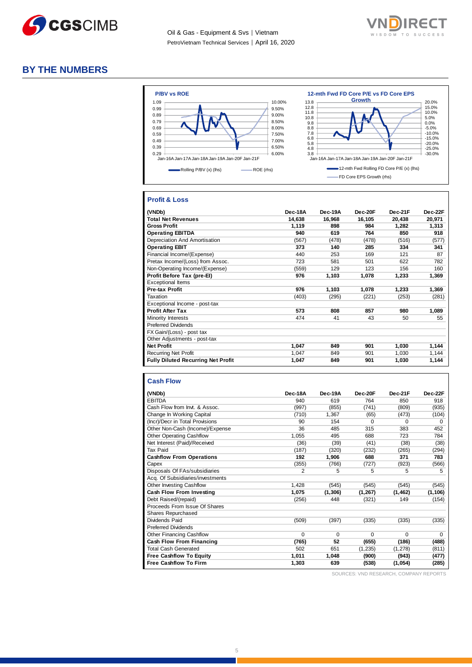



#### **BY THE NUMBERS**



#### **Profit & Loss**

| (VNDb)                                    | Dec-18A | Dec-19A | Dec-20F | Dec-21F | Dec-22F |
|-------------------------------------------|---------|---------|---------|---------|---------|
| <b>Total Net Revenues</b>                 | 14.638  | 16,968  | 16,105  | 20,438  | 20,971  |
| <b>Gross Profit</b>                       | 1,119   | 898     | 984     | 1,282   | 1,313   |
| <b>Operating EBITDA</b>                   | 940     | 619     | 764     | 850     | 918     |
| Depreciation And Amortisation             | (567)   | (478)   | (478)   | (516)   | (577)   |
| <b>Operating EBIT</b>                     | 373     | 140     | 285     | 334     | 341     |
| Financial Income/(Expense)                | 440     | 253     | 169     | 121     | 87      |
| Pretax Income/(Loss) from Assoc.          | 723     | 581     | 501     | 622     | 782     |
| Non-Operating Income/(Expense)            | (559)   | 129     | 123     | 156     | 160     |
| Profit Before Tax (pre-El)                | 976     | 1,103   | 1,078   | 1,233   | 1,369   |
| <b>Exceptional Items</b>                  |         |         |         |         |         |
| <b>Pre-tax Profit</b>                     | 976     | 1,103   | 1,078   | 1,233   | 1,369   |
| Taxation                                  | (403)   | (295)   | (221)   | (253)   | (281)   |
| Exceptional Income - post-tax             |         |         |         |         |         |
| <b>Profit After Tax</b>                   | 573     | 808     | 857     | 980     | 1,089   |
| Minority Interests                        | 474     | 41      | 43      | 50      | 55      |
| <b>Preferred Dividends</b>                |         |         |         |         |         |
| FX Gain/(Loss) - post tax                 |         |         |         |         |         |
| Other Adjustments - post-tax              |         |         |         |         |         |
| <b>Net Profit</b>                         | 1,047   | 849     | 901     | 1,030   | 1,144   |
| <b>Recurring Net Profit</b>               | 1,047   | 849     | 901     | 1,030   | 1,144   |
| <b>Fully Diluted Recurring Net Profit</b> | 1,047   | 849     | 901     | 1,030   | 1,144   |

#### **Cash Flow**

| (VNDb)                           | Dec-18A  | Dec-19A  | Dec-20F  | Dec-21F  | Dec-22F  |
|----------------------------------|----------|----------|----------|----------|----------|
| <b>EBITDA</b>                    | 940      | 619      | 764      | 850      | 918      |
| Cash Flow from Invt. & Assoc.    | (997)    | (855)    | (741)    | (809)    | (935)    |
| Change In Working Capital        | (710)    | 1,367    | (65)     | (473)    | (104)    |
| (Incr)/Decr in Total Provisions  | 90       | 154      | $\Omega$ | $\Omega$ | $\Omega$ |
| Other Non-Cash (Income)/Expense  | 36       | 485      | 315      | 383      | 452      |
| <b>Other Operating Cashflow</b>  | 1,055    | 495      | 688      | 723      | 784      |
| Net Interest (Paid)/Received     | (36)     | (39)     | (41)     | (38)     | (38)     |
| Tax Paid                         | (187)    | (320)    | (232)    | (265)    | (294)    |
| <b>Cashflow From Operations</b>  | 192      | 1,906    | 688      | 371      | 783      |
| Capex                            | (355)    | (766)    | (727)    | (923)    | (566)    |
| Disposals Of FAs/subsidiaries    | 2        | 5        | 5        | 5        | 5        |
| Acq. Of Subsidiaries/investments |          |          |          |          |          |
| <b>Other Investing Cashflow</b>  | 1,428    | (545)    | (545)    | (545)    | (545)    |
| Cash Flow From Investing         | 1,075    | (1, 306) | (1, 267) | (1, 462) | (1, 106) |
| Debt Raised/(repaid)             | (256)    | 448      | (321)    | 149      | (154)    |
| Proceeds From Issue Of Shares    |          |          |          |          |          |
| Shares Repurchased               |          |          |          |          |          |
| Dividends Paid                   | (509)    | (397)    | (335)    | (335)    | (335)    |
| <b>Preferred Dividends</b>       |          |          |          |          |          |
| <b>Other Financing Cashflow</b>  | $\Omega$ | $\Omega$ | $\Omega$ | $\Omega$ | $\Omega$ |
| <b>Cash Flow From Financing</b>  | (765)    | 52       | (655)    | (186)    | (488)    |
| <b>Total Cash Generated</b>      | 502      | 651      | (1, 235) | (1, 278) | (811)    |
| <b>Free Cashflow To Equity</b>   | 1,011    | 1,048    | (900)    | (943)    | (477)    |
| <b>Free Cashflow To Firm</b>     | 1,303    | 639      | (538)    | (1,054)  | (285)    |

SOURCES: VND RESEARCH, COMPANY REPORTS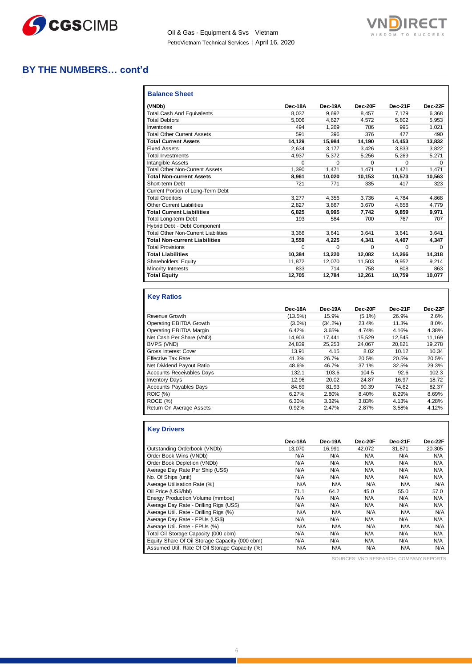



### **BY THE NUMBERS… cont'd**

| <b>Balance Sheet</b>                       |          |          |          |          |          |
|--------------------------------------------|----------|----------|----------|----------|----------|
| (VNDb)                                     | Dec-18A  | Dec-19A  | Dec-20F  | Dec-21F  | Dec-22F  |
| <b>Total Cash And Equivalents</b>          | 8.037    | 9.692    | 8,457    | 7.179    | 6.368    |
| <b>Total Debtors</b>                       | 5.006    | 4.627    | 4.572    | 5.802    | 5.953    |
| Inventories                                | 494      | 1.269    | 786      | 995      | 1.021    |
| <b>Total Other Current Assets</b>          | 591      | 396      | 376      | 477      | 490      |
| <b>Total Current Assets</b>                | 14,129   | 15,984   | 14,190   | 14,453   | 13,832   |
| <b>Fixed Assets</b>                        | 2.634    | 3,177    | 3,426    | 3,833    | 3,822    |
| <b>Total Investments</b>                   | 4.937    | 5,372    | 5,256    | 5,269    | 5,271    |
| Intangible Assets                          | $\Omega$ | $\Omega$ | $\Omega$ | $\Omega$ | $\Omega$ |
| <b>Total Other Non-Current Assets</b>      | 1,390    | 1.471    | 1.471    | 1.471    | 1.471    |
| <b>Total Non-current Assets</b>            | 8.961    | 10,020   | 10.153   | 10.573   | 10,563   |
| Short-term Debt                            | 721      | 771      | 335      | 417      | 323      |
| Current Portion of Long-Term Debt          |          |          |          |          |          |
| <b>Total Creditors</b>                     | 3.277    | 4.356    | 3.736    | 4.784    | 4,868    |
| <b>Other Current Liabilities</b>           | 2.827    | 3,867    | 3,670    | 4.658    | 4,779    |
| <b>Total Current Liabilities</b>           | 6.825    | 8.995    | 7.742    | 9.859    | 9,971    |
| Total Long-term Debt                       | 193      | 584      | 700      | 767      | 707      |
| Hybrid Debt - Debt Component               |          |          |          |          |          |
| <b>Total Other Non-Current Liabilities</b> | 3.366    | 3.641    | 3.641    | 3.641    | 3,641    |
| <b>Total Non-current Liabilities</b>       | 3,559    | 4,225    | 4,341    | 4,407    | 4,347    |
| <b>Total Provisions</b>                    | $\Omega$ | $\Omega$ | $\Omega$ | $\Omega$ | $\Omega$ |
| <b>Total Liabilities</b>                   | 10.384   | 13.220   | 12.082   | 14,266   | 14,318   |
| Shareholders' Equity                       | 11,872   | 12.070   | 11,503   | 9.952    | 9,214    |
| Minority Interests                         | 833      | 714      | 758      | 808      | 863      |
| <b>Total Equity</b>                        | 12,705   | 12,784   | 12,261   | 10,759   | 10,077   |

#### **Key Ratios**

|                                  | Dec-18A    | Dec-19A    | Dec-20F   | Dec-21F | Dec-22F |
|----------------------------------|------------|------------|-----------|---------|---------|
| Revenue Growth                   | $(13.5\%)$ | 15.9%      | $(5.1\%)$ | 26.9%   | 2.6%    |
| Operating EBITDA Growth          | $(3.0\%)$  | $(34.2\%)$ | 23.4%     | 11.3%   | 8.0%    |
| Operating EBITDA Margin          | 6.42%      | 3.65%      | 4.74%     | 4.16%   | 4.38%   |
| Net Cash Per Share (VND)         | 14,903     | 17.441     | 15,529    | 12.545  | 11,169  |
| BVPS (VND)                       | 24.839     | 25,253     | 24,067    | 20,821  | 19,278  |
| <b>Gross Interest Cover</b>      | 13.91      | 4.15       | 8.02      | 10.12   | 10.34   |
| <b>Effective Tax Rate</b>        | 41.3%      | 26.7%      | 20.5%     | 20.5%   | 20.5%   |
| Net Dividend Payout Ratio        | 48.6%      | 46.7%      | 37.1%     | 32.5%   | 29.3%   |
| <b>Accounts Receivables Days</b> | 132.1      | 103.6      | 104.5     | 92.6    | 102.3   |
| <b>Inventory Days</b>            | 12.96      | 20.02      | 24.87     | 16.97   | 18.72   |
| <b>Accounts Payables Days</b>    | 84.69      | 81.93      | 90.39     | 74.62   | 82.37   |
| <b>ROIC (%)</b>                  | 6.27%      | 2.80%      | 8.40%     | 8.29%   | 8.69%   |
| ROCE (%)                         | 6.30%      | 3.32%      | 3.83%     | 4.13%   | 4.28%   |
| Return On Average Assets         | 0.92%      | 2.47%      | 2.87%     | 3.58%   | 4.12%   |

| <b>Key Drivers</b>                             |         |         |         |         |         |
|------------------------------------------------|---------|---------|---------|---------|---------|
|                                                | Dec-18A | Dec-19A | Dec-20F | Dec-21F | Dec-22F |
| Outstanding Orderbook (VNDb)                   | 13,070  | 16,991  | 42,072  | 31,871  | 20,305  |
| Order Book Wins (VNDb)                         | N/A     | N/A     | N/A     | N/A     | N/A     |
| Order Book Depletion (VNDb)                    | N/A     | N/A     | N/A     | N/A     | N/A     |
| Average Day Rate Per Ship (US\$)               | N/A     | N/A     | N/A     | N/A     | N/A     |
| No. Of Ships (unit)                            | N/A     | N/A     | N/A     | N/A     | N/A     |
| Average Utilisation Rate (%)                   | N/A     | N/A     | N/A     | N/A     | N/A     |
| Oil Price (US\$/bbl)                           | 71.1    | 64.2    | 45.0    | 55.0    | 57.0    |
| Energy Production Volume (mmboe)               | N/A     | N/A     | N/A     | N/A     | N/A     |
| Average Day Rate - Drilling Rigs (US\$)        | N/A     | N/A     | N/A     | N/A     | N/A     |
| Average Util. Rate - Drilling Rigs (%)         | N/A     | N/A     | N/A     | N/A     | N/A     |
| Average Day Rate - FPUs (US\$)                 | N/A     | N/A     | N/A     | N/A     | N/A     |
| Average Util. Rate - FPUs (%)                  | N/A     | N/A     | N/A     | N/A     | N/A     |
| Total Oil Storage Capacity (000 cbm)           | N/A     | N/A     | N/A     | N/A     | N/A     |
| Equity Share Of Oil Storage Capacity (000 cbm) | N/A     | N/A     | N/A     | N/A     | N/A     |
| Assumed Util. Rate Of Oil Storage Capacity (%) | N/A     | N/A     | N/A     | N/A     | N/A     |

SOURCES: VND RESEARCH, COMPANY REPORTS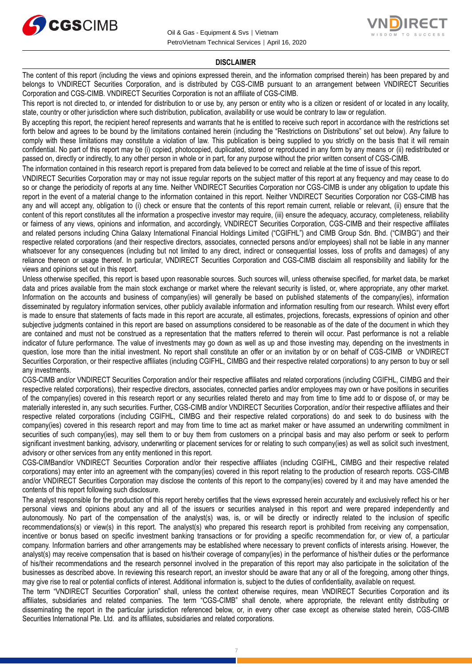



#### **DISCLAIMER**

The content of this report (including the views and opinions expressed therein, and the information comprised therein) has been prepared by and belongs to VNDIRECT Securities Corporation, and is distributed by CGS-CIMB pursuant to an arrangement between VNDIRECT Securities Corporation and CGS-CIMB. VNDIRECT Securities Corporation is not an affiliate of CGS-CIMB.

This report is not directed to, or intended for distribution to or use by, any person or entity who is a citizen or resident of or located in any locality, state, country or other jurisdiction where such distribution, publication, availability or use would be contrary to law or regulation.

By accepting this report, the recipient hereof represents and warrants that he is entitled to receive such report in accordance with the restrictions set forth below and agrees to be bound by the limitations contained herein (including the "Restrictions on Distributions" set out below). Any failure to comply with these limitations may constitute a violation of law. This publication is being supplied to you strictly on the basis that it will remain confidential. No part of this report may be (i) copied, photocopied, duplicated, stored or reproduced in any form by any means or (ii) redistributed or passed on, directly or indirectly, to any other person in whole or in part, for any purpose without the prior written consent of CGS-CIMB.

The information contained in this research report is prepared from data believed to be correct and reliable at the time of issue of this report.

VNDIRECT Securities Corporation may or may not issue regular reports on the subject matter of this report at any frequency and may cease to do so or change the periodicity of reports at any time. Neither VNDIRECT Securities Corporation nor CGS-CIMB is under any obligation to update this report in the event of a material change to the information contained in this report. Neither VNDIRECT Securities Corporation nor CGS-CIMB has any and will accept any, obligation to (i) check or ensure that the contents of this report remain current, reliable or relevant, (ii) ensure that the content of this report constitutes all the information a prospective investor may require, (iii) ensure the adequacy, accuracy, completeness, reliability or fairness of any views, opinions and information, and accordingly, VNDIRECT Securities Corporation, CGS-CIMB and their respective affiliates and related persons including China Galaxy International Financial Holdings Limited ("CGIFHL") and CIMB Group Sdn. Bhd. ("CIMBG") and their respective related corporations (and their respective directors, associates, connected persons and/or employees) shall not be liable in any manner whatsoever for any consequences (including but not limited to any direct, indirect or consequential losses, loss of profits and damages) of any reliance thereon or usage thereof. In particular, VNDIRECT Securities Corporation and CGS-CIMB disclaim all responsibility and liability for the views and opinions set out in this report.

Unless otherwise specified, this report is based upon reasonable sources. Such sources will, unless otherwise specified, for market data, be market data and prices available from the main stock exchange or market where the relevant security is listed, or, where appropriate, any other market. Information on the accounts and business of company(ies) will generally be based on published statements of the company(ies), information disseminated by regulatory information services, other publicly available information and information resulting from our research. Whilst every effort is made to ensure that statements of facts made in this report are accurate, all estimates, projections, forecasts, expressions of opinion and other subjective judgments contained in this report are based on assumptions considered to be reasonable as of the date of the document in which they are contained and must not be construed as a representation that the matters referred to therein will occur. Past performance is not a reliable indicator of future performance. The value of investments may go down as well as up and those investing may, depending on the investments in question, lose more than the initial investment. No report shall constitute an offer or an invitation by or on behalf of CGS-CIMB or VNDIRECT Securities Corporation, or their respective affiliates (including CGIFHL, CIMBG and their respective related corporations) to any person to buy or sell any investments.

CGS-CIMB and/or VNDIRECT Securities Corporation and/or their respective affiliates and related corporations (including CGIFHL, CIMBG and their respective related corporations), their respective directors, associates, connected parties and/or employees may own or have positions in securities of the company(ies) covered in this research report or any securities related thereto and may from time to time add to or dispose of, or may be materially interested in, any such securities. Further, CGS-CIMB and/or VNDIRECT Securities Corporation, and/or their respective affiliates and their respective related corporations (including CGIFHL, CIMBG and their respective related corporations) do and seek to do business with the company(ies) covered in this research report and may from time to time act as market maker or have assumed an underwriting commitment in securities of such company(ies), may sell them to or buy them from customers on a principal basis and may also perform or seek to perform significant investment banking, advisory, underwriting or placement services for or relating to such company(ies) as well as solicit such investment, advisory or other services from any entity mentioned in this report.

CGS-CIMBand/or VNDIRECT Securities Corporation and/or their respective affiliates (including CGIFHL, CIMBG and their respective related corporations) may enter into an agreement with the company(ies) covered in this report relating to the production of research reports. CGS-CIMB and/or VNDIRECT Securities Corporation may disclose the contents of this report to the company(ies) covered by it and may have amended the contents of this report following such disclosure.

The analyst responsible for the production of this report hereby certifies that the views expressed herein accurately and exclusively reflect his or her personal views and opinions about any and all of the issuers or securities analysed in this report and were prepared independently and autonomously. No part of the compensation of the analyst(s) was, is, or will be directly or indirectly related to the inclusion of specific recommendations(s) or view(s) in this report. The analyst(s) who prepared this research report is prohibited from receiving any compensation, incentive or bonus based on specific investment banking transactions or for providing a specific recommendation for, or view of, a particular company. Information barriers and other arrangements may be established where necessary to prevent conflicts of interests arising. However, the analyst(s) may receive compensation that is based on his/their coverage of company(ies) in the performance of his/their duties or the performance of his/their recommendations and the research personnel involved in the preparation of this report may also participate in the solicitation of the businesses as described above. In reviewing this research report, an investor should be aware that any or all of the foregoing, among other things, may give rise to real or potential conflicts of interest. Additional information is, subject to the duties of confidentiality, available on request.

The term "VNDIRECT Securities Corporation" shall, unless the context otherwise requires, mean VNDIRECT Securities Corporation and its affiliates, subsidiaries and related companies. The term "CGS-CIMB" shall denote, where appropriate, the relevant entity distributing or disseminating the report in the particular jurisdiction referenced below, or, in every other case except as otherwise stated herein, CGS-CIMB Securities International Pte. Ltd. and its affiliates, subsidiaries and related corporations.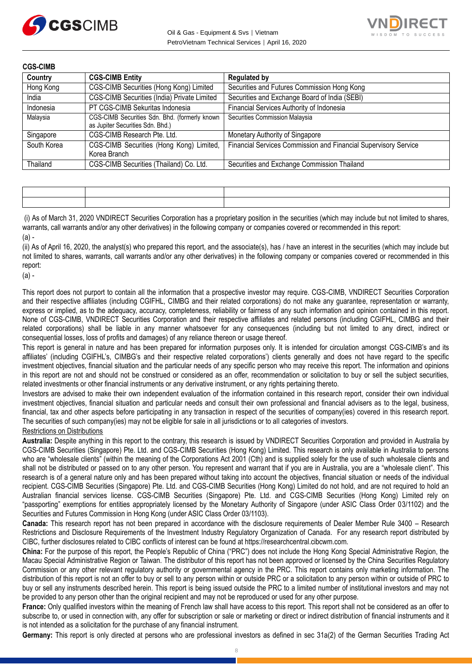



| <b>CGS-CIMB</b> |                                                                                   |                                                                 |  |  |
|-----------------|-----------------------------------------------------------------------------------|-----------------------------------------------------------------|--|--|
| Country         | <b>CGS-CIMB Entity</b>                                                            | <b>Regulated by</b>                                             |  |  |
| Hong Kong       | CGS-CIMB Securities (Hong Kong) Limited                                           | Securities and Futures Commission Hong Kong                     |  |  |
| India           | CGS-CIMB Securities (India) Private Limited                                       | Securities and Exchange Board of India (SEBI)                   |  |  |
| Indonesia       | PT CGS-CIMB Sekuritas Indonesia                                                   | Financial Services Authority of Indonesia                       |  |  |
| Malaysia        | CGS-CIMB Securities Sdn. Bhd. (formerly known<br>as Jupiter Securities Sdn. Bhd.) | Securities Commission Malaysia                                  |  |  |
| Singapore       | CGS-CIMB Research Pte. Ltd.                                                       | Monetary Authority of Singapore                                 |  |  |
| South Korea     | CGS-CIMB Securities (Hong Kong) Limited,<br>Korea Branch                          | Financial Services Commission and Financial Supervisory Service |  |  |
| Thailand        | CGS-CIMB Securities (Thailand) Co. Ltd.                                           | Securities and Exchange Commission Thailand                     |  |  |

(i) As of March 31, 2020 VNDIRECT Securities Corporation has a proprietary position in the securities (which may include but not limited to shares, warrants, call warrants and/or any other derivatives) in the following company or companies covered or recommended in this report:  $(a)$  -

(ii) As of April 16, 2020, the analyst(s) who prepared this report, and the associate(s), has / have an interest in the securities (which may include but not limited to shares, warrants, call warrants and/or any other derivatives) in the following company or companies covered or recommended in this report:

(a) -

This report does not purport to contain all the information that a prospective investor may require. CGS-CIMB, VNDIRECT Securities Corporation and their respective affiliates (including CGIFHL, CIMBG and their related corporations) do not make any guarantee, representation or warranty, express or implied, as to the adequacy, accuracy, completeness, reliability or fairness of any such information and opinion contained in this report. None of CGS-CIMB, VNDIRECT Securities Corporation and their respective affiliates and related persons (including CGIFHL, CIMBG and their related corporations) shall be liable in any manner whatsoever for any consequences (including but not limited to any direct, indirect or consequential losses, loss of profits and damages) of any reliance thereon or usage thereof.

This report is general in nature and has been prepared for information purposes only. It is intended for circulation amongst CGS-CIMB's and its affiliates' (including CGIFHL's, CIMBG's and their respective related corporations') clients generally and does not have regard to the specific investment objectives, financial situation and the particular needs of any specific person who may receive this report. The information and opinions in this report are not and should not be construed or considered as an offer, recommendation or solicitation to buy or sell the subject securities, related investments or other financial instruments or any derivative instrument, or any rights pertaining thereto.

Investors are advised to make their own independent evaluation of the information contained in this research report, consider their own individual investment objectives, financial situation and particular needs and consult their own professional and financial advisers as to the legal, business, financial, tax and other aspects before participating in any transaction in respect of the securities of company(ies) covered in this research report. The securities of such company(ies) may not be eligible for sale in all jurisdictions or to all categories of investors.

#### Restrictions on Distributions

**Australia:** Despite anything in this report to the contrary, this research is issued by VNDIRECT Securities Corporation and provided in Australia by CGS-CIMB Securities (Singapore) Pte. Ltd. and CGS-CIMB Securities (Hong Kong) Limited. This research is only available in Australia to persons who are "wholesale clients" (within the meaning of the Corporations Act 2001 (Cth) and is supplied solely for the use of such wholesale clients and shall not be distributed or passed on to any other person. You represent and warrant that if you are in Australia, you are a "wholesale client". This research is of a general nature only and has been prepared without taking into account the objectives, financial situation or needs of the individual recipient. CGS-CIMB Securities (Singapore) Pte. Ltd. and CGS-CIMB Securities (Hong Kong) Limited do not hold, and are not required to hold an Australian financial services license. CGS-CIMB Securities (Singapore) Pte. Ltd. and CGS-CIMB Securities (Hong Kong) Limited rely on "passporting" exemptions for entities appropriately licensed by the Monetary Authority of Singapore (under ASIC Class Order 03/1102) and the Securities and Futures Commission in Hong Kong (under ASIC Class Order 03/1103).

**Canada:** This research report has not been prepared in accordance with the disclosure requirements of Dealer Member Rule 3400 – Research Restrictions and Disclosure Requirements of the Investment Industry Regulatory Organization of Canada. For any research report distributed by CIBC, further disclosures related to CIBC conflicts of interest can be found at https://researchcentral.cibcwm.com.

**China:** For the purpose of this report, the People's Republic of China ("PRC") does not include the Hong Kong Special Administrative Region, the Macau Special Administrative Region or Taiwan. The distributor of this report has not been approved or licensed by the China Securities Regulatory Commission or any other relevant regulatory authority or governmental agency in the PRC. This report contains only marketing information. The distribution of this report is not an offer to buy or sell to any person within or outside PRC or a solicitation to any person within or outside of PRC to buy or sell any instruments described herein. This report is being issued outside the PRC to a limited number of institutional investors and may not be provided to any person other than the original recipient and may not be reproduced or used for any other purpose.

**France:** Only qualified investors within the meaning of French law shall have access to this report. This report shall not be considered as an offer to subscribe to, or used in connection with, any offer for subscription or sale or marketing or direct or indirect distribution of financial instruments and it is not intended as a solicitation for the purchase of any financial instrument.

**Germany:** This report is only directed at persons who are professional investors as defined in sec 31a(2) of the German Securities Trading Act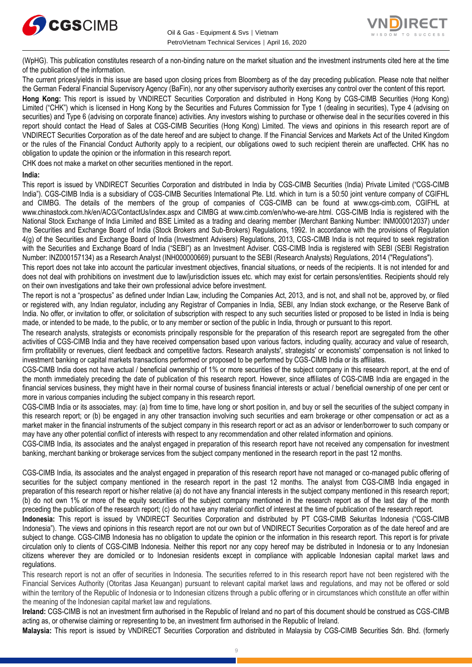



(WpHG). This publication constitutes research of a non-binding nature on the market situation and the investment instruments cited here at the time of the publication of the information.

The current prices/yields in this issue are based upon closing prices from Bloomberg as of the day preceding publication. Please note that neither the German Federal Financial Supervisory Agency (BaFin), nor any other supervisory authority exercises any control over the content of this report.

**Hong Kong:** This report is issued by VNDIRECT Securities Corporation and distributed in Hong Kong by CGS-CIMB Securities (Hong Kong) Limited ("CHK") which is licensed in Hong Kong by the Securities and Futures Commission for Type 1 (dealing in securities), Type 4 (advising on securities) and Type 6 (advising on corporate finance) activities. Any investors wishing to purchase or otherwise deal in the securities covered in this report should contact the Head of Sales at CGS-CIMB Securities (Hong Kong) Limited. The views and opinions in this research report are of VNDIRECT Securities Corporation as of the date hereof and are subject to change. If the Financial Services and Markets Act of the United Kingdom or the rules of the Financial Conduct Authority apply to a recipient, our obligations owed to such recipient therein are unaffected. CHK has no obligation to update the opinion or the information in this research report.

CHK does not make a market on other securities mentioned in the report.

#### **India:**

This report is issued by VNDIRECT Securities Corporation and distributed in India by CGS-CIMB Securities (India) Private Limited ("CGS-CIMB India"). CGS-CIMB India is a subsidiary of CGS-CIMB Securities International Pte. Ltd. which in turn is a 50:50 joint venture company of CGIFHL and CIMBG. The details of the members of the group of companies of CGS-CIMB can be found at www.cgs-cimb.com, CGIFHL at www.chinastock.com.hk/en/ACG/ContactUs/index.aspx and CIMBG at www.cimb.com/en/who-we-are.html. CGS-CIMB India is registered with the National Stock Exchange of India Limited and BSE Limited as a trading and clearing member (Merchant Banking Number: INM000012037) under the Securities and Exchange Board of India (Stock Brokers and Sub-Brokers) Regulations, 1992. In accordance with the provisions of Regulation 4(g) of the Securities and Exchange Board of India (Investment Advisers) Regulations, 2013, CGS-CIMB India is not required to seek registration with the Securities and Exchange Board of India ("SEBI") as an Investment Adviser. CGS-CIMB India is registered with SEBI (SEBI Registration Number: INZ000157134) as a Research Analyst (INH000000669) pursuant to the SEBI (Research Analysts) Regulations, 2014 ("Regulations").

This report does not take into account the particular investment objectives, financial situations, or needs of the recipients. It is not intended for and does not deal with prohibitions on investment due to law/jurisdiction issues etc. which may exist for certain persons/entities. Recipients should rely on their own investigations and take their own professional advice before investment.

The report is not a "prospectus" as defined under Indian Law, including the Companies Act, 2013, and is not, and shall not be, approved by, or filed or registered with, any Indian regulator, including any Registrar of Companies in India, SEBI, any Indian stock exchange, or the Reserve Bank of India. No offer, or invitation to offer, or solicitation of subscription with respect to any such securities listed or proposed to be listed in India is being made, or intended to be made, to the public, or to any member or section of the public in India, through or pursuant to this report.

The research analysts, strategists or economists principally responsible for the preparation of this research report are segregated from the other activities of CGS-CIMB India and they have received compensation based upon various factors, including quality, accuracy and value of research, firm profitability or revenues, client feedback and competitive factors. Research analysts', strategists' or economists' compensation is not linked to investment banking or capital markets transactions performed or proposed to be performed by CGS-CIMB India or its affiliates.

CGS-CIMB India does not have actual / beneficial ownership of 1% or more securities of the subject company in this research report, at the end of the month immediately preceding the date of publication of this research report. However, since affiliates of CGS-CIMB India are engaged in the financial services business, they might have in their normal course of business financial interests or actual / beneficial ownership of one per cent or more in various companies including the subject company in this research report.

CGS-CIMB India or its associates, may: (a) from time to time, have long or short position in, and buy or sell the securities of the subject company in this research report; or (b) be engaged in any other transaction involving such securities and earn brokerage or other compensation or act as a market maker in the financial instruments of the subject company in this research report or act as an advisor or lender/borrower to such company or may have any other potential conflict of interests with respect to any recommendation and other related information and opinions.

CGS-CIMB India, its associates and the analyst engaged in preparation of this research report have not received any compensation for investment banking, merchant banking or brokerage services from the subject company mentioned in the research report in the past 12 months.

CGS-CIMB India, its associates and the analyst engaged in preparation of this research report have not managed or co-managed public offering of securities for the subject company mentioned in the research report in the past 12 months. The analyst from CGS-CIMB India engaged in preparation of this research report or his/her relative (a) do not have any financial interests in the subject company mentioned in this research report; (b) do not own 1% or more of the equity securities of the subject company mentioned in the research report as of the last day of the month preceding the publication of the research report; (c) do not have any material conflict of interest at the time of publication of the research report.

**Indonesia:** This report is issued by VNDIRECT Securities Corporation and distributed by PT CGS-CIMB Sekuritas Indonesia ("CGS-CIMB Indonesia"). The views and opinions in this research report are not our own but of VNDIRECT Securities Corporation as of the date hereof and are subject to change. CGS-CIMB Indonesia has no obligation to update the opinion or the information in this research report. This report is for private circulation only to clients of CGS-CIMB Indonesia. Neither this report nor any copy hereof may be distributed in Indonesia or to any Indonesian citizens wherever they are domiciled or to Indonesian residents except in compliance with applicable Indonesian capital market laws and regulations.

This research report is not an offer of securities in Indonesia. The securities referred to in this research report have not been registered with the Financial Services Authority (Otoritas Jasa Keuangan) pursuant to relevant capital market laws and regulations, and may not be offered or sold within the territory of the Republic of Indonesia or to Indonesian citizens through a public offering or in circumstances which constitute an offer within the meaning of the Indonesian capital market law and regulations.

**Ireland:** CGS-CIMB is not an investment firm authorised in the Republic of Ireland and no part of this document should be construed as CGS-CIMB acting as, or otherwise claiming or representing to be, an investment firm authorised in the Republic of Ireland.

**Malaysia:** This report is issued by VNDIRECT Securities Corporation and distributed in Malaysia by CGS-CIMB Securities Sdn. Bhd. (formerly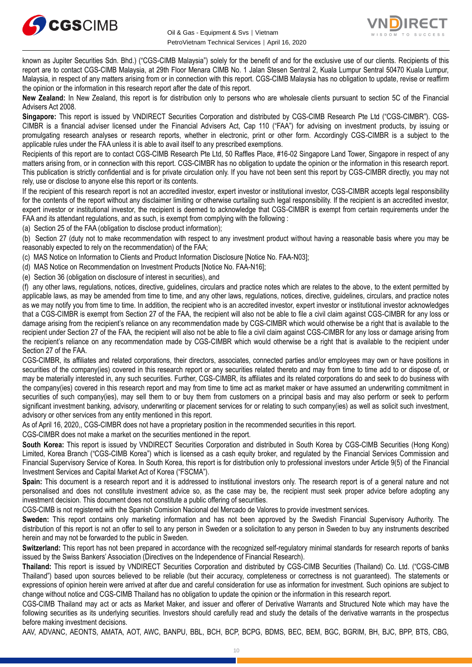



known as Jupiter Securities Sdn. Bhd.) ("CGS-CIMB Malaysia") solely for the benefit of and for the exclusive use of our clients. Recipients of this report are to contact CGS-CIMB Malaysia, at 29th Floor Menara CIMB No. 1 Jalan Stesen Sentral 2, Kuala Lumpur Sentral 50470 Kuala Lumpur, Malaysia, in respect of any matters arising from or in connection with this report. CGS-CIMB Malaysia has no obligation to update, revise or reaffirm the opinion or the information in this research report after the date of this report.

**New Zealand:** In New Zealand, this report is for distribution only to persons who are wholesale clients pursuant to section 5C of the Financial Advisers Act 2008.

**Singapore:** This report is issued by VNDIRECT Securities Corporation and distributed by CGS-CIMB Research Pte Ltd ("CGS-CIMBR"). CGS-CIMBR is a financial adviser licensed under the Financial Advisers Act, Cap 110 ("FAA") for advising on investment products, by issuing or promulgating research analyses or research reports, whether in electronic, print or other form. Accordingly CGS-CIMBR is a subject to the applicable rules under the FAA unless it is able to avail itself to any prescribed exemptions.

Recipients of this report are to contact CGS-CIMB Research Pte Ltd, 50 Raffles Place, #16-02 Singapore Land Tower, Singapore in respect of any matters arising from, or in connection with this report. CGS-CIMBR has no obligation to update the opinion or the information in this research report. This publication is strictly confidential and is for private circulation only. If you have not been sent this report by CGS-CIMBR directly, you may not rely, use or disclose to anyone else this report or its contents.

If the recipient of this research report is not an accredited investor, expert investor or institutional investor, CGS-CIMBR accepts legal responsibility for the contents of the report without any disclaimer limiting or otherwise curtailing such legal responsibility. If the recipient is an accredited investor, expert investor or institutional investor, the recipient is deemed to acknowledge that CGS-CIMBR is exempt from certain requirements under the FAA and its attendant regulations, and as such, is exempt from complying with the following :

(a) Section 25 of the FAA (obligation to disclose product information);

(b) Section 27 (duty not to make recommendation with respect to any investment product without having a reasonable basis where you may be reasonably expected to rely on the recommendation) of the FAA;

(c) MAS Notice on Information to Clients and Product Information Disclosure [Notice No. FAA-N03];

(d) MAS Notice on Recommendation on Investment Products [Notice No. FAA-N16];

(e) Section 36 (obligation on disclosure of interest in securities), and

(f) any other laws, regulations, notices, directive, guidelines, circulars and practice notes which are relates to the above, to the extent permitted by applicable laws, as may be amended from time to time, and any other laws, regulations, notices, directive, guidelines, circulars, and practice notes as we may notify you from time to time. In addition, the recipient who is an accredited investor, expert investor or institutional investor acknowledges that a CGS-CIMBR is exempt from Section 27 of the FAA, the recipient will also not be able to file a civil claim against CGS-CIMBR for any loss or damage arising from the recipient's reliance on any recommendation made by CGS-CIMBR which would otherwise be a right that is available to the recipient under Section 27 of the FAA, the recipient will also not be able to file a civil claim against CGS-CIMBR for any loss or damage arising from the recipient's reliance on any recommendation made by CGS-CIMBR which would otherwise be a right that is available to the recipient under Section 27 of the FAA.

CGS-CIMBR, its affiliates and related corporations, their directors, associates, connected parties and/or employees may own or have positions in securities of the company(ies) covered in this research report or any securities related thereto and may from time to time add to or dispose of, or may be materially interested in, any such securities. Further, CGS-CIMBR, its affiliates and its related corporations do and seek to do business with the company(ies) covered in this research report and may from time to time act as market maker or have assumed an underwriting commitment in securities of such company(ies), may sell them to or buy them from customers on a principal basis and may also perform or seek to perform significant investment banking, advisory, underwriting or placement services for or relating to such company(ies) as well as solicit such investment, advisory or other services from any entity mentioned in this report.

As of April 16, 2020,, CGS-CIMBR does not have a proprietary position in the recommended securities in this report.

CGS-CIMBR does not make a market on the securities mentioned in the report.

**South Korea:** This report is issued by VNDIRECT Securities Corporation and distributed in South Korea by CGS-CIMB Securities (Hong Kong) Limited, Korea Branch ("CGS-CIMB Korea") which is licensed as a cash equity broker, and regulated by the Financial Services Commission and Financial Supervisory Service of Korea. In South Korea, this report is for distribution only to professional investors under Article 9(5) of the Financial Investment Services and Capital Market Act of Korea ("FSCMA").

**Spain:** This document is a research report and it is addressed to institutional investors only. The research report is of a general nature and not personalised and does not constitute investment advice so, as the case may be, the recipient must seek proper advice before adopting any investment decision. This document does not constitute a public offering of securities.

CGS-CIMB is not registered with the Spanish Comision Nacional del Mercado de Valores to provide investment services.

**Sweden:** This report contains only marketing information and has not been approved by the Swedish Financial Supervisory Authority. The distribution of this report is not an offer to sell to any person in Sweden or a solicitation to any person in Sweden to buy any instruments described herein and may not be forwarded to the public in Sweden.

**Switzerland:** This report has not been prepared in accordance with the recognized self-regulatory minimal standards for research reports of banks issued by the Swiss Bankers' Association (Directives on the Independence of Financial Research).

**Thailand:** This report is issued by VNDIRECT Securities Corporation and distributed by CGS-CIMB Securities (Thailand) Co. Ltd. ("CGS-CIMB Thailand") based upon sources believed to be reliable (but their accuracy, completeness or correctness is not guaranteed). The statements or expressions of opinion herein were arrived at after due and careful consideration for use as information for investment. Such opinions are subject to change without notice and CGS-CIMB Thailand has no obligation to update the opinion or the information in this research report.

CGS-CIMB Thailand may act or acts as Market Maker, and issuer and offerer of Derivative Warrants and Structured Note which may have the following securities as its underlying securities. Investors should carefully read and study the details of the derivative warrants in the prospectus before making investment decisions.

AAV, ADVANC, AEONTS, AMATA, AOT, AWC, BANPU, BBL, BCH, BCP, BCPG, BDMS, BEC, BEM, BGC, BGRIM, BH, BJC, BPP, BTS, CBG,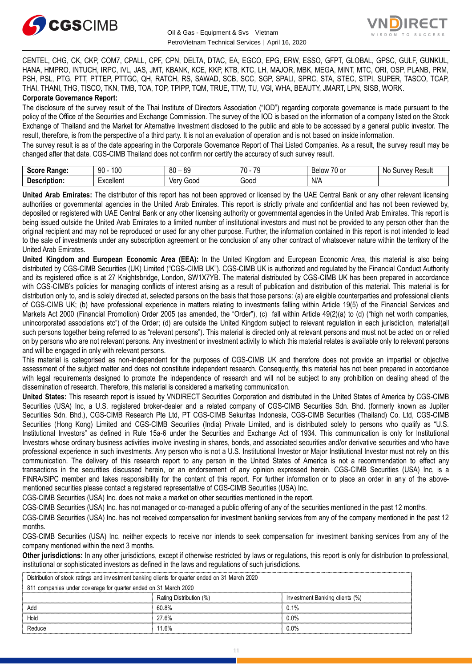



CENTEL, CHG, CK, CKP, COM7, CPALL, CPF, CPN, DELTA, DTAC, EA, EGCO, EPG, ERW, ESSO, GFPT, GLOBAL, GPSC, GULF, GUNKUL, HANA, HMPRO, INTUCH, IRPC, IVL, JAS, JMT, KBANK, KCE, KKP, KTB, KTC, LH, MAJOR, MBK, MEGA, MINT, MTC, ORI, OSP, PLANB, PRM, PSH, PSL, PTG, PTT, PTTEP, PTTGC, QH, RATCH, RS, SAWAD, SCB, SCC, SGP, SPALI, SPRC, STA, STEC, STPI, SUPER, TASCO, TCAP, THAI, THANI, THG, TISCO, TKN, TMB, TOA, TOP, TPIPP, TQM, TRUE, TTW, TU, VGI, WHA, BEAUTY, JMART, LPN, SISB, WORK. **Corporate Governance Report:**

The disclosure of the survey result of the Thai Institute of Directors Association ("IOD") regarding corporate governance is made pursuant to the policy of the Office of the Securities and Exchange Commission. The survey of the IOD is based on the information of a company listed on the Stock Exchange of Thailand and the Market for Alternative Investment disclosed to the public and able to be accessed by a general public investor. The result, therefore, is from the perspective of a third party. It is not an evaluation of operation and is not based on inside information.

The survey result is as of the date appearing in the Corporate Governance Report of Thai Listed Companies. As a result, the survey result may be changed after that date. CGS-CIMB Thailand does not confirm nor certify the accuracy of such survey result.

| <b>Score</b><br><b>Range:</b>        | 1∩∩<br>90<br>טע | $^{\circ}$<br><b>RC</b><br>vu | 70<br>$\overline{70}$<br>л.<br>. . | $\overline{\phantom{a}}$<br>.∪ or<br>Relow | Result<br>י הי<br>NG<br>$\overline{\phantom{a}}$<br>.<br>.<br> |
|--------------------------------------|-----------------|-------------------------------|------------------------------------|--------------------------------------------|----------------------------------------------------------------|
| -<br><b>Description</b><br>eription. | xcellent        | ∨en<br>000ز                   | $\overline{\phantom{a}}$<br>G000   | N/A                                        |                                                                |

**United Arab Emirates:** The distributor of this report has not been approved or licensed by the UAE Central Bank or any other relevant licensing authorities or governmental agencies in the United Arab Emirates. This report is strictly private and confidential and has not been reviewed by, deposited or registered with UAE Central Bank or any other licensing authority or governmental agencies in the United Arab Emirates. This report is being issued outside the United Arab Emirates to a limited number of institutional investors and must not be provided to any person other than the original recipient and may not be reproduced or used for any other purpose. Further, the information contained in this report is not intended to lead to the sale of investments under any subscription agreement or the conclusion of any other contract of whatsoever nature within the territory of the United Arab Emirates.

**United Kingdom and European Economic Area (EEA):** In the United Kingdom and European Economic Area, this material is also being distributed by CGS-CIMB Securities (UK) Limited ("CGS-CIMB UK"). CGS-CIMB UK is authorized and regulated by the Financial Conduct Authority and its registered office is at 27 Knightsbridge, London, SW1X7YB. The material distributed by CGS-CIMB UK has been prepared in accordance with CGS-CIMB's policies for managing conflicts of interest arising as a result of publication and distribution of this material. This material is for distribution only to, and is solely directed at, selected persons on the basis that those persons: (a) are eligible counterparties and professional clients of CGS-CIMB UK; (b) have professional experience in matters relating to investments falling within Article 19(5) of the Financial Services and Markets Act 2000 (Financial Promotion) Order 2005 (as amended, the "Order"), (c) fall within Article 49(2)(a) to (d) ("high net worth companies, unincorporated associations etc") of the Order; (d) are outside the United Kingdom subject to relevant regulation in each jurisdiction, material(all such persons together being referred to as "relevant persons"). This material is directed only at relevant persons and must not be acted on or relied on by persons who are not relevant persons. Any investment or investment activity to which this material relates is available only to relevant persons and will be engaged in only with relevant persons.

This material is categorised as non-independent for the purposes of CGS-CIMB UK and therefore does not provide an impartial or objective assessment of the subject matter and does not constitute independent research. Consequently, this material has not been prepared in accordance with legal requirements designed to promote the independence of research and will not be subject to any prohibition on dealing ahead of the dissemination of research. Therefore, this material is considered a marketing communication.

**United States:** This research report is issued by VNDIRECT Securities Corporation and distributed in the United States of America by CGS-CIMB Securities (USA) Inc, a U.S. registered broker-dealer and a related company of CGS-CIMB Securities Sdn. Bhd. (formerly known as Jupiter Securities Sdn. Bhd.), CGS-CIMB Research Pte Ltd, PT CGS-CIMB Sekuritas Indonesia, CGS-CIMB Securities (Thailand) Co. Ltd, CGS-CIMB Securities (Hong Kong) Limited and CGS-CIMB Securities (India) Private Limited, and is distributed solely to persons who qualify as "U.S. Institutional Investors" as defined in Rule 15a-6 under the Securities and Exchange Act of 1934. This communication is only for Institutional Investors whose ordinary business activities involve investing in shares, bonds, and associated securities and/or derivative securities and who have professional experience in such investments. Any person who is not a U.S. Institutional Investor or Major Institutional Investor must not rely on this communication. The delivery of this research report to any person in the United States of America is not a recommendation to effect any transactions in the securities discussed herein, or an endorsement of any opinion expressed herein. CGS-CIMB Securities (USA) Inc, is a FINRA/SIPC member and takes responsibility for the content of this report. For further information or to place an order in any of the abovementioned securities please contact a registered representative of CGS-CIMB Securities (USA) Inc.

CGS-CIMB Securities (USA) Inc. does not make a market on other securities mentioned in the report.

CGS-CIMB Securities (USA) Inc. has not managed or co-managed a public offering of any of the securities mentioned in the past 12 months.

CGS-CIMB Securities (USA) Inc. has not received compensation for investment banking services from any of the company mentioned in the past 12 months.

CGS-CIMB Securities (USA) Inc. neither expects to receive nor intends to seek compensation for investment banking services from any of the company mentioned within the next 3 months.

**Other jurisdictions:** In any other jurisdictions, except if otherwise restricted by laws or regulations, this report is only for distribution to professional, institutional or sophisticated investors as defined in the laws and regulations of such jurisdictions.

|                                                                 | Distribution of stock ratings and investment banking clients for quarter ended on 31 March 2020 |                         |                                |  |  |
|-----------------------------------------------------------------|-------------------------------------------------------------------------------------------------|-------------------------|--------------------------------|--|--|
| 811 companies under coverage for quarter ended on 31 March 2020 |                                                                                                 |                         |                                |  |  |
|                                                                 |                                                                                                 | Rating Distribution (%) | Investment Banking clients (%) |  |  |
|                                                                 | Add                                                                                             | 60 8%                   | 0.1%                           |  |  |
|                                                                 | Hold                                                                                            | 27.6%                   | 0.0%                           |  |  |
|                                                                 | Reduce                                                                                          | 11.6%                   | $0.0\%$                        |  |  |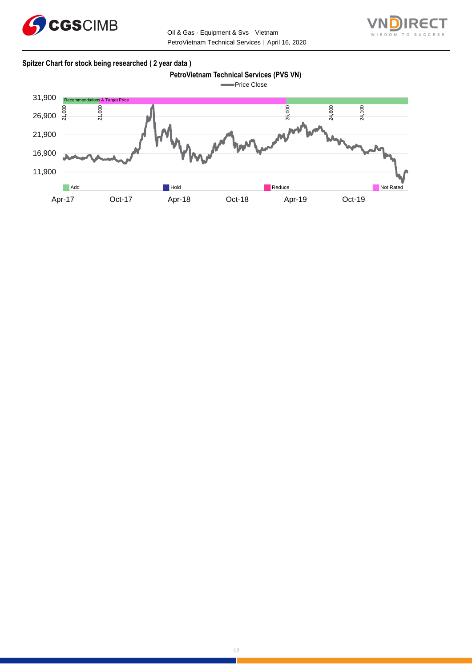



#### **Spitzer Chart for stock being researched ( 2 year data )**

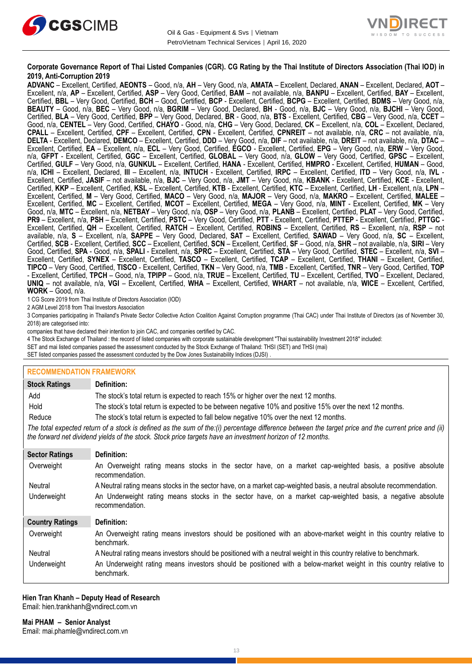



#### **Corporate Governance Report of Thai Listed Companies (CGR). CG Rating by the Thai Institute of Directors Association (Thai IOD) in 2019, Anti-Corruption 2019**

**ADVANC** – Excellent, Certified, **AEONTS** – Good, n/a, **AH** – Very Good, n/a, **AMATA** – Excellent, Declared, **ANAN** – Excellent, Declared, **AOT** – Excellent, n/a, **AP** – Excellent, Certified, **ASP** – Very Good, Certified, **BAM** – not available, n/a, **BANPU** – Excellent, Certified, **BAY** – Excellent, Certified, **BBL** – Very Good, Certified, **BCH** – Good, Certified, **BCP** - Excellent, Certified, **BCPG** – Excellent, Certified, **BDMS** – Very Good, n/a, **BEAUTY** – Good, n/a, **BEC** – Very Good, n/a, **BGRIM** – Very Good, Declared, **BH** - Good, n/a, **BJC** – Very Good, n/a, **BJCHI** – Very Good, Certified, **BLA** – Very Good, Certified, **BPP** – Very Good, Declared, **BR** - Good, n/a, **BTS** - Excellent, Certified, **CBG** – Very Good, n/a, **CCET** – Good, n/a, **CENTEL** – Very Good, Certified, **CHAYO** - Good, n/a, **CHG** – Very Good, Declared, **CK** – Excellent, n/a, **COL** – Excellent, Declared, **CPALL** – Excellent, Certified, **CPF** – Excellent, Certified, **CPN** - Excellent, Certified, **CPNREIT** – not available, n/a, **CRC** – not available, n/a, **DELTA** - Excellent, Declared, **DEMCO** – Excellent, Certified, **DDD** – Very Good, n/a, **DIF** – not available, n/a, **DREIT** – not available, n/a, **DTAC** – Excellent, Certified, **EA** – Excellent, n/a, **ECL** – Very Good, Certified, **EGCO** - Excellent, Certified, **EPG** – Very Good, n/a, **ERW** – Very Good, n/a, **GFPT** - Excellent, Certified, **GGC** – Excellent, Certified, **GLOBAL** – Very Good, n/a, **GLOW** – Very Good, Certified, **GPSC** – Excellent, Certified, **GULF** – Very Good, n/a, **GUNKUL** – Excellent, Certified, **HANA** - Excellent, Certified, **HMPRO** - Excellent, Certified, **HUMAN** – Good, n/a, **ICHI** – Excellent, Declared, **III** – Excellent, n/a, **INTUCH** - Excellent, Certified, **IRPC** – Excellent, Certified, **ITD** – Very Good, n/a, **IVL** - Excellent, Certified, **JASIF** – not available, n/a, **BJC** – Very Good, n/a, **JMT** – Very Good, n/a, **KBANK** - Excellent, Certified, **KCE** - Excellent, Certified, **KKP** – Excellent, Certified, **KSL** – Excellent, Certified, **KTB** - Excellent, Certified, **KTC** – Excellent, Certified, **LH** - Excellent, n/a, **LPN** – Excellent, Certified, **M** – Very Good, Certified, **MACO** – Very Good, n/a, **MAJOR** – Very Good, n/a, **MAKRO** – Excellent, Certified, **MALEE** – Excellent, Certified, **MC** – Excellent, Certified, **MCOT** – Excellent, Certified, **MEGA** – Very Good, n/a, **MINT** - Excellent, Certified, **MK** – Very Good, n/a, **MTC** – Excellent, n/a, **NETBAY** – Very Good, n/a, **OSP** – Very Good, n/a, **PLANB** – Excellent, Certified, **PLAT** – Very Good, Certified, **PR9** – Excellent, n/a, **PSH** – Excellent, Certified, **PSTC** – Very Good, Certified, **PTT** - Excellent, Certified, **PTTEP** - Excellent, Certified, **PTTGC** - Excellent, Certified, **QH** – Excellent, Certified, **RATCH** – Excellent, Certified, **ROBINS** – Excellent, Certified, **RS** – Excellent, n/a, **RSP** – not available, n/a, **S** – Excellent, n/a, **SAPPE** – Very Good, Declared, **SAT** – Excellent, Certified, **SAWAD** – Very Good, n/a, **SC** – Excellent, Certified, **SCB** - Excellent, Certified, **SCC** – Excellent, Certified, **SCN** – Excellent, Certified, **SF** – Good, n/a, **SHR** – not available, n/a, **SIRI** – Very Good, Certified, **SPA** - Good, n/a, **SPALI** - Excellent, n/a, **SPRC** – Excellent, Certified, **STA** – Very Good, Certified, **STEC** – Excellent, n/a, **SVI** – Excellent, Certified, **SYNEX** – Excellent, Certified, **TASCO** – Excellent, Certified, **TCAP** – Excellent, Certified, **THANI** – Excellent, Certified, **TIPCO** – Very Good, Certified, **TISCO** - Excellent, Certified, **TKN** – Very Good, n/a, **TMB** - Excellent, Certified, **TNR** – Very Good, Certified, **TOP** - Excellent, Certified, **TPCH** – Good, n/a, **TPIPP** – Good, n/a, **TRUE** – Excellent, Certified, **TU** – Excellent, Certified, **TVO** – Excellent, Declared, **UNIQ** – not available, n/a, **VGI** – Excellent, Certified, **WHA** – Excellent, Certified, **WHART** – not available, n/a, **WICE** – Excellent, Certified, **WORK** – Good, n/a.

1 CG Score 2019 from Thai Institute of Directors Association (IOD)

2 AGM Level 2018 from Thai Investors Association

3 Companies participating in Thailand's Private Sector Collective Action Coalition Against Corruption programme (Thai CAC) under Thai Institute of Directors (as of November 30, 2018) are categorised into:

companies that have declared their intention to join CAC, and companies certified by CAC.

4 [The Stock Exchange of Thailand : the record of listed companies with corporate sustainable development "Thai sustainability Investment 2018" included:](http://www.set.or.th/sustainable_dev/en/sr/sri/tsi_p1.html)

SET and mai listed companies passed the assessment conducted by the Stock Exchange of Thailand: THSI (SET) and THSI (mai)

SET listed companies passed the assessment conducted by the Dow Jones Sustainability Indices (DJSI)

#### **RECOMMENDATION FRAMEWORK**

| <b>Stock Ratings</b>   | Definition:                                                                                                                                                                                                                                                       |
|------------------------|-------------------------------------------------------------------------------------------------------------------------------------------------------------------------------------------------------------------------------------------------------------------|
| Add                    | The stock's total return is expected to reach 15% or higher over the next 12 months.                                                                                                                                                                              |
| Hold                   | The stock's total return is expected to be between negative 10% and positive 15% over the next 12 months.                                                                                                                                                         |
| Reduce                 | The stock's total return is expected to fall below negative 10% over the next 12 months.                                                                                                                                                                          |
|                        | The total expected return of a stock is defined as the sum of the:(i) percentage difference between the target price and the current price and (ii)<br>the forward net dividend yields of the stock. Stock price targets have an investment horizon of 12 months. |
| <b>Sector Ratings</b>  | Definition:                                                                                                                                                                                                                                                       |
| Overweight             | An Overweight rating means stocks in the sector have, on a market cap-weighted basis, a positive absolute<br>recommendation.                                                                                                                                      |
| Neutral                | A Neutral rating means stocks in the sector have, on a market cap-weighted basis, a neutral absolute recommendation.                                                                                                                                              |
| Underweight            | An Underweight rating means stocks in the sector have, on a market cap-weighted basis, a negative absolute<br>recommendation.                                                                                                                                     |
| <b>Country Ratings</b> | Definition:                                                                                                                                                                                                                                                       |
| Overweight             | An Overweight rating means investors should be positioned with an above-market weight in this country relative to<br>benchmark.                                                                                                                                   |
| Neutral                | A Neutral rating means investors should be positioned with a neutral weight in this country relative to benchmark.                                                                                                                                                |
| Underweight            | An Underweight rating means investors should be positioned with a below-market weight in this country relative to<br>benchmark.                                                                                                                                   |

#### **Hien Tran Khanh – Deputy Head of Research** Email: [hien.trankhanh@vndirect.com.vn](mailto:hien.trankhanh@vndirect.com.vn)

**Mai PHAM – Senior Analyst** Email: [mai.phamle@vndirect.com.vn](mailto:mai.phamle@vndirect.com.vn)